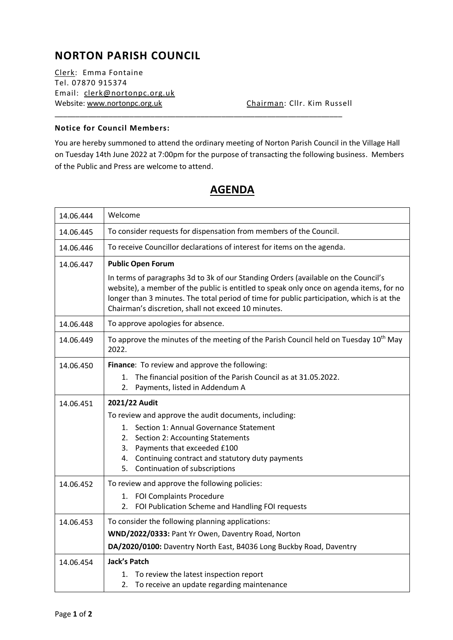# **NORTON PARISH COUNCIL**

Clerk: Emma Fontaine Tel. 07870 915374 Email: [clerk@nortonpc.org.uk](mailto:clerk@nortonpc.org.uk) Website: [www.nortonpc.org.uk](http://www.nortonpc.org.uk/) Chairman: Cllr. Kim Russell

#### **Notice for Council Members:**

You are hereby summoned to attend the ordinary meeting of Norton Parish Council in the Village Hall on Tuesday 14th June 2022 at 7:00pm for the purpose of transacting the following business. Members of the Public and Press are welcome to attend.

\_\_\_\_\_\_\_\_\_\_\_\_\_\_\_\_\_\_\_\_\_\_\_\_\_\_\_\_\_\_\_\_\_\_\_\_\_\_\_\_\_\_\_\_\_\_\_\_\_\_\_\_\_\_\_\_\_\_\_\_\_\_\_\_\_\_\_\_\_

| 14.06.444 | Welcome                                                                                                                                                                                                                                                                                                                           |  |  |  |  |  |
|-----------|-----------------------------------------------------------------------------------------------------------------------------------------------------------------------------------------------------------------------------------------------------------------------------------------------------------------------------------|--|--|--|--|--|
| 14.06.445 | To consider requests for dispensation from members of the Council.                                                                                                                                                                                                                                                                |  |  |  |  |  |
| 14.06.446 | To receive Councillor declarations of interest for items on the agenda.                                                                                                                                                                                                                                                           |  |  |  |  |  |
| 14.06.447 | <b>Public Open Forum</b>                                                                                                                                                                                                                                                                                                          |  |  |  |  |  |
|           | In terms of paragraphs 3d to 3k of our Standing Orders (available on the Council's<br>website), a member of the public is entitled to speak only once on agenda items, for no<br>longer than 3 minutes. The total period of time for public participation, which is at the<br>Chairman's discretion, shall not exceed 10 minutes. |  |  |  |  |  |
| 14.06.448 | To approve apologies for absence.                                                                                                                                                                                                                                                                                                 |  |  |  |  |  |
| 14.06.449 | To approve the minutes of the meeting of the Parish Council held on Tuesday 10 <sup>th</sup> May<br>2022.                                                                                                                                                                                                                         |  |  |  |  |  |
| 14.06.450 | Finance: To review and approve the following:                                                                                                                                                                                                                                                                                     |  |  |  |  |  |
|           | The financial position of the Parish Council as at 31.05.2022.<br>1.<br>Payments, listed in Addendum A<br>2.                                                                                                                                                                                                                      |  |  |  |  |  |
| 14.06.451 | 2021/22 Audit                                                                                                                                                                                                                                                                                                                     |  |  |  |  |  |
|           | To review and approve the audit documents, including:                                                                                                                                                                                                                                                                             |  |  |  |  |  |
|           | 1. Section 1: Annual Governance Statement                                                                                                                                                                                                                                                                                         |  |  |  |  |  |
|           | 2. Section 2: Accounting Statements<br>3. Payments that exceeded £100                                                                                                                                                                                                                                                             |  |  |  |  |  |
|           | 4. Continuing contract and statutory duty payments                                                                                                                                                                                                                                                                                |  |  |  |  |  |
|           | 5. Continuation of subscriptions                                                                                                                                                                                                                                                                                                  |  |  |  |  |  |
| 14.06.452 | To review and approve the following policies:                                                                                                                                                                                                                                                                                     |  |  |  |  |  |
|           | 1. FOI Complaints Procedure                                                                                                                                                                                                                                                                                                       |  |  |  |  |  |
|           | FOI Publication Scheme and Handling FOI requests<br>2.                                                                                                                                                                                                                                                                            |  |  |  |  |  |
| 14.06.453 | To consider the following planning applications:                                                                                                                                                                                                                                                                                  |  |  |  |  |  |
|           | WND/2022/0333: Pant Yr Owen, Daventry Road, Norton                                                                                                                                                                                                                                                                                |  |  |  |  |  |
|           | DA/2020/0100: Daventry North East, B4036 Long Buckby Road, Daventry                                                                                                                                                                                                                                                               |  |  |  |  |  |
| 14.06.454 | <b>Jack's Patch</b>                                                                                                                                                                                                                                                                                                               |  |  |  |  |  |
|           | To review the latest inspection report<br>1.<br>To receive an update regarding maintenance<br>2.                                                                                                                                                                                                                                  |  |  |  |  |  |
|           |                                                                                                                                                                                                                                                                                                                                   |  |  |  |  |  |

## **AGENDA**